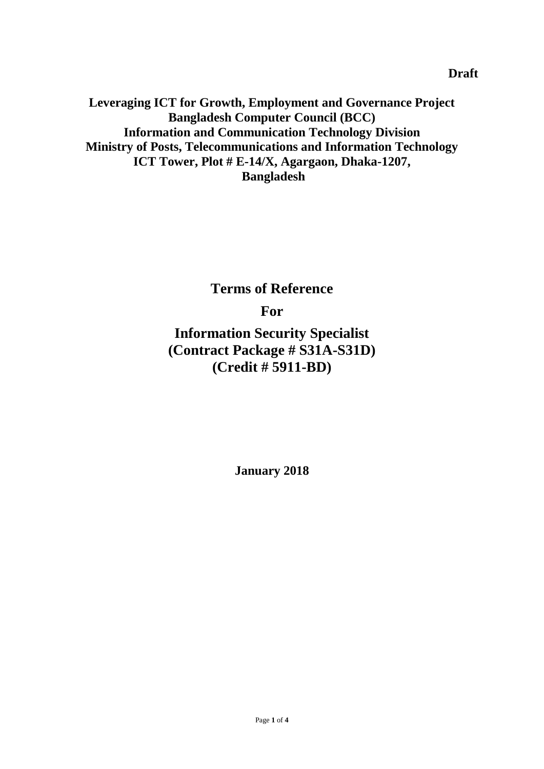**Leveraging ICT for Growth, Employment and Governance Project Bangladesh Computer Council (BCC) Information and Communication Technology Division Ministry of Posts, Telecommunications and Information Technology ICT Tower, Plot # E-14/X, Agargaon, Dhaka-1207, Bangladesh**

**Terms of Reference**

**For**

**Information Security Specialist (Contract Package # S31A-S31D) (Credit # 5911-BD)**

**January 2018**

**Draft**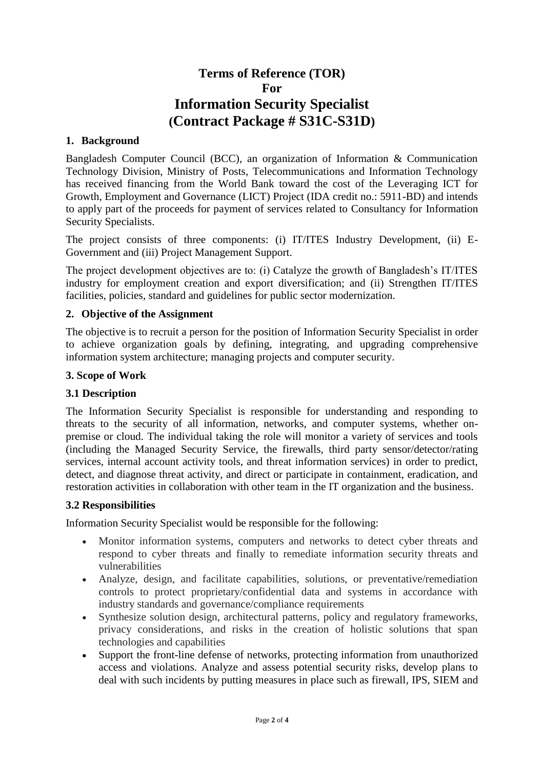# **Terms of Reference (TOR) For Information Security Specialist (Contract Package # S31C-S31D)**

#### **1. Background**

Bangladesh Computer Council (BCC), an organization of Information & Communication Technology Division, Ministry of Posts, Telecommunications and Information Technology has received financing from the World Bank toward the cost of the Leveraging ICT for Growth, Employment and Governance (LICT) Project (IDA credit no.: 5911-BD) and intends to apply part of the proceeds for payment of services related to Consultancy for Information Security Specialists.

The project consists of three components: (i) IT/ITES Industry Development, (ii) E-Government and (iii) Project Management Support.

The project development objectives are to: (i) Catalyze the growth of Bangladesh's IT/ITES industry for employment creation and export diversification; and (ii) Strengthen IT/ITES facilities, policies, standard and guidelines for public sector modernization.

#### **2. Objective of the Assignment**

The objective is to recruit a person for the position of Information Security Specialist in order to achieve organization goals by defining, integrating, and upgrading comprehensive information system architecture; managing projects and computer security.

#### **3. Scope of Work**

#### **3.1 Description**

The Information Security Specialist is responsible for understanding and responding to threats to the security of all information, networks, and computer systems, whether onpremise or cloud. The individual taking the role will monitor a variety of services and tools (including the Managed Security Service, the firewalls, third party sensor/detector/rating services, internal account activity tools, and threat information services) in order to predict, detect, and diagnose threat activity, and direct or participate in containment, eradication, and restoration activities in collaboration with other team in the IT organization and the business.

#### **3.2 Responsibilities**

Information Security Specialist would be responsible for the following:

- Monitor information systems, computers and networks to detect cyber threats and respond to cyber threats and finally to remediate information security threats and vulnerabilities
- Analyze, design, and facilitate capabilities, solutions, or preventative/remediation controls to protect proprietary/confidential data and systems in accordance with industry standards and governance/compliance requirements
- Synthesize solution design, architectural patterns, policy and regulatory frameworks, privacy considerations, and risks in the creation of holistic solutions that span technologies and capabilities
- Support the front-line defense of networks, protecting information from unauthorized access and violations. Analyze and assess potential security risks, develop plans to deal with such incidents by putting measures in place such as firewall, IPS, SIEM and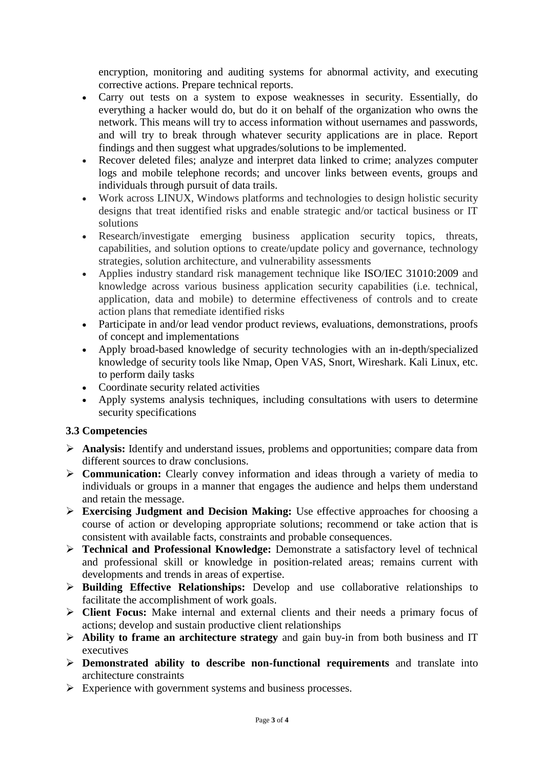encryption, monitoring and auditing systems for abnormal activity, and executing corrective actions. Prepare technical reports.

- Carry out tests on a system to expose weaknesses in security. Essentially, do everything a hacker would do, but do it on behalf of the organization who owns the network. This means will try to access information without usernames and passwords, and will try to break through whatever security applications are in place. Report findings and then suggest what upgrades/solutions to be implemented.
- Recover deleted files; analyze and interpret data linked to crime; analyzes computer logs and mobile telephone records; and uncover links between events, groups and individuals through pursuit of data trails.
- Work across LINUX, Windows platforms and technologies to design holistic security designs that treat identified risks and enable strategic and/or tactical business or IT solutions
- Research/investigate emerging business application security topics, threats, capabilities, and solution options to create/update policy and governance, technology strategies, solution architecture, and vulnerability assessments
- Applies industry standard risk management technique like ISO/IEC 31010:2009 and knowledge across various business application security capabilities (i.e. technical, application, data and mobile) to determine effectiveness of controls and to create action plans that remediate identified risks
- Participate in and/or lead vendor product reviews, evaluations, demonstrations, proofs of concept and implementations
- Apply broad-based knowledge of security technologies with an in-depth/specialized knowledge of security tools like Nmap, Open VAS, Snort, Wireshark. Kali Linux, etc. to perform daily tasks
- Coordinate security related activities
- Apply systems analysis techniques, including consultations with users to determine security specifications

#### **3.3 Competencies**

- **Analysis:** Identify and understand issues, problems and opportunities; compare data from different sources to draw conclusions.
- **Communication:** Clearly convey information and ideas through a variety of media to individuals or groups in a manner that engages the audience and helps them understand and retain the message.
- **Exercising Judgment and Decision Making:** Use effective approaches for choosing a course of action or developing appropriate solutions; recommend or take action that is consistent with available facts, constraints and probable consequences.
- **Technical and Professional Knowledge:** Demonstrate a satisfactory level of technical and professional skill or knowledge in position-related areas; remains current with developments and trends in areas of expertise.
- **Building Effective Relationships:** Develop and use collaborative relationships to facilitate the accomplishment of work goals.
- **Client Focus:** Make internal and external clients and their needs a primary focus of actions; develop and sustain productive client relationships
- **Ability to frame an architecture strategy** and gain buy-in from both business and IT executives
- **Demonstrated ability to describe non-functional requirements** and translate into architecture constraints
- Experience with government systems and business processes.